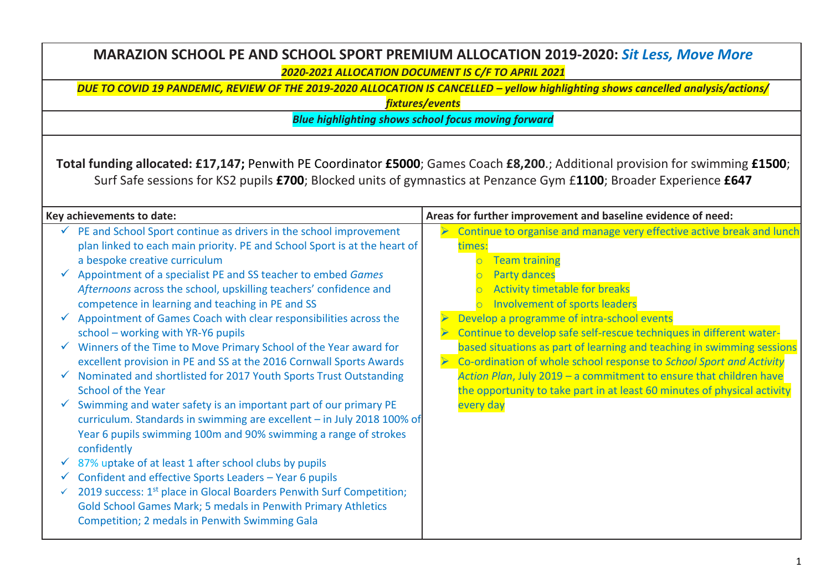| MARAZION SCHOOL PE AND SCHOOL SPORT PREMIUM ALLOCATION 2019-2020: Sit Less, Move More<br>2020-2021 ALLOCATION DOCUMENT IS C/F TO APRIL 2021                                                                                                                                                                                                                                                                                                                                                                                                                                                                                                                                                                                                                                                                                                                                                                                                                                                                                                                                                                                                                                                                                                                                                                                                         |                                                                                                                                                                                                                                                                                                                                                                                                                                                                                                                                                                                                                                                                                                                    |  |
|-----------------------------------------------------------------------------------------------------------------------------------------------------------------------------------------------------------------------------------------------------------------------------------------------------------------------------------------------------------------------------------------------------------------------------------------------------------------------------------------------------------------------------------------------------------------------------------------------------------------------------------------------------------------------------------------------------------------------------------------------------------------------------------------------------------------------------------------------------------------------------------------------------------------------------------------------------------------------------------------------------------------------------------------------------------------------------------------------------------------------------------------------------------------------------------------------------------------------------------------------------------------------------------------------------------------------------------------------------|--------------------------------------------------------------------------------------------------------------------------------------------------------------------------------------------------------------------------------------------------------------------------------------------------------------------------------------------------------------------------------------------------------------------------------------------------------------------------------------------------------------------------------------------------------------------------------------------------------------------------------------------------------------------------------------------------------------------|--|
| DUE TO COVID 19 PANDEMIC, REVIEW OF THE 2019-2020 ALLOCATION IS CANCELLED - yellow highlighting shows cancelled analysis/actions/<br>fixtures/events                                                                                                                                                                                                                                                                                                                                                                                                                                                                                                                                                                                                                                                                                                                                                                                                                                                                                                                                                                                                                                                                                                                                                                                                |                                                                                                                                                                                                                                                                                                                                                                                                                                                                                                                                                                                                                                                                                                                    |  |
| <b>Blue highlighting shows school focus moving forward</b>                                                                                                                                                                                                                                                                                                                                                                                                                                                                                                                                                                                                                                                                                                                                                                                                                                                                                                                                                                                                                                                                                                                                                                                                                                                                                          |                                                                                                                                                                                                                                                                                                                                                                                                                                                                                                                                                                                                                                                                                                                    |  |
| Total funding allocated: £17,147; Penwith PE Coordinator £5000; Games Coach £8,200.; Additional provision for swimming £1500;<br>Surf Safe sessions for KS2 pupils £700; Blocked units of gymnastics at Penzance Gym £1100; Broader Experience £647                                                                                                                                                                                                                                                                                                                                                                                                                                                                                                                                                                                                                                                                                                                                                                                                                                                                                                                                                                                                                                                                                                 |                                                                                                                                                                                                                                                                                                                                                                                                                                                                                                                                                                                                                                                                                                                    |  |
| Key achievements to date:<br>PE and School Sport continue as drivers in the school improvement<br>plan linked to each main priority. PE and School Sport is at the heart of<br>a bespoke creative curriculum<br>$\checkmark$ Appointment of a specialist PE and SS teacher to embed Games<br>Afternoons across the school, upskilling teachers' confidence and<br>competence in learning and teaching in PE and SS<br>Appointment of Games Coach with clear responsibilities across the<br>school - working with YR-Y6 pupils<br>$\checkmark$ Winners of the Time to Move Primary School of the Year award for<br>excellent provision in PE and SS at the 2016 Cornwall Sports Awards<br>√ Nominated and shortlisted for 2017 Youth Sports Trust Outstanding<br><b>School of the Year</b><br>Swimming and water safety is an important part of our primary PE<br>curriculum. Standards in swimming are excellent - in July 2018 100% of<br>Year 6 pupils swimming 100m and 90% swimming a range of strokes<br>confidently<br>87% uptake of at least 1 after school clubs by pupils<br>Confident and effective Sports Leaders - Year 6 pupils<br>2019 success: 1 <sup>st</sup> place in Glocal Boarders Penwith Surf Competition;<br>Gold School Games Mark; 5 medals in Penwith Primary Athletics<br>Competition; 2 medals in Penwith Swimming Gala | Areas for further improvement and baseline evidence of need:<br>Continue to organise and manage very effective active break and lunch<br>times:<br>o Team training<br><b>Party dances</b><br>$\overline{O}$<br>Activity timetable for breaks<br>Involvement of sports leaders<br>Develop a programme of intra-school events<br>Continue to develop safe self-rescue techniques in different water-<br>based situations as part of learning and teaching in swimming sessions<br>Co-ordination of whole school response to School Sport and Activity<br>Action Plan, July 2019 - a commitment to ensure that children have<br>the opportunity to take part in at least 60 minutes of physical activity<br>every day |  |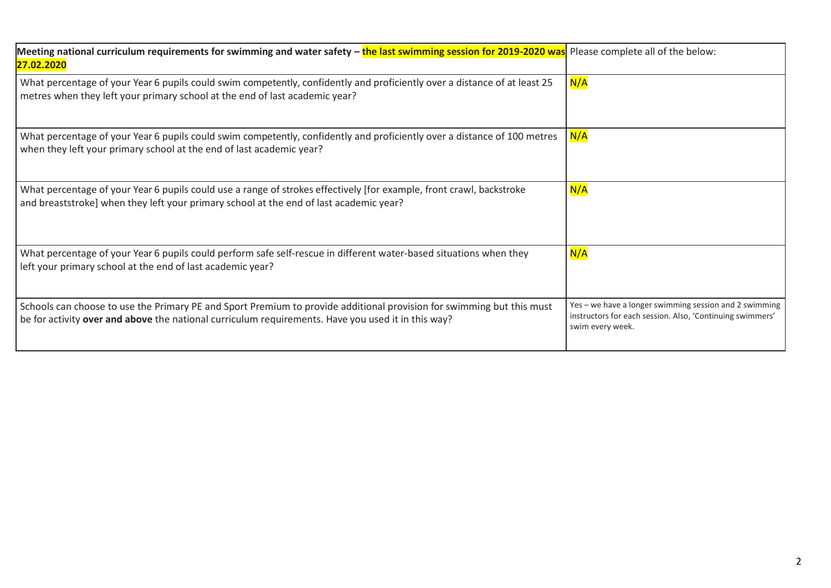| Meeting national curriculum requirements for swimming and water safety - the last swimming session for 2019-2020 was Please complete all of the below:<br>27.02.2020                                                        |                                                                                                                                         |
|-----------------------------------------------------------------------------------------------------------------------------------------------------------------------------------------------------------------------------|-----------------------------------------------------------------------------------------------------------------------------------------|
| What percentage of your Year 6 pupils could swim competently, confidently and proficiently over a distance of at least 25<br>metres when they left your primary school at the end of last academic year?                    | N/A                                                                                                                                     |
| What percentage of your Year 6 pupils could swim competently, confidently and proficiently over a distance of 100 metres<br>when they left your primary school at the end of last academic year?                            | N/A                                                                                                                                     |
| What percentage of your Year 6 pupils could use a range of strokes effectively [for example, front crawl, backstroke<br>and breaststroke] when they left your primary school at the end of last academic year?              | N/A                                                                                                                                     |
| What percentage of your Year 6 pupils could perform safe self-rescue in different water-based situations when they<br>left your primary school at the end of last academic year?                                            | N/A                                                                                                                                     |
| Schools can choose to use the Primary PE and Sport Premium to provide additional provision for swimming but this must<br>be for activity over and above the national curriculum requirements. Have you used it in this way? | Yes - we have a longer swimming session and 2 swimming<br>instructors for each session. Also, 'Continuing swimmers'<br>swim every week. |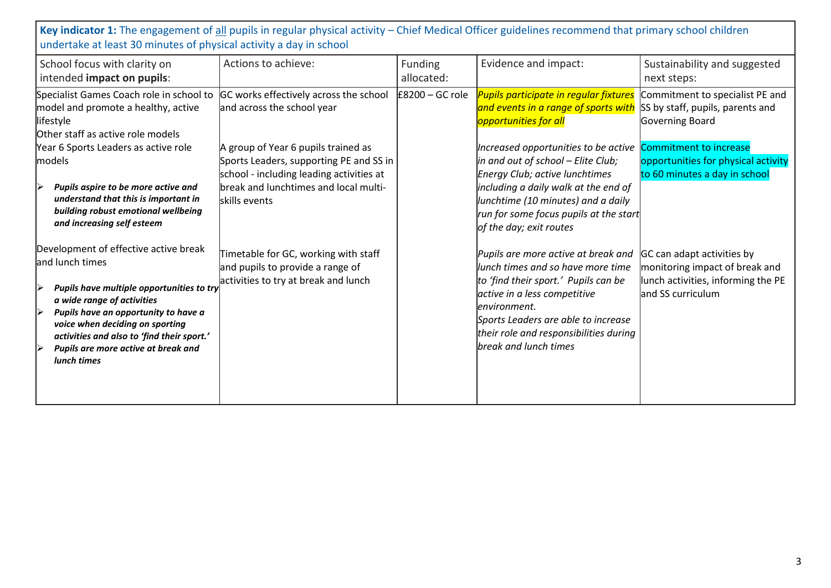**Key indicator 1:** The engagement of all pupils in regular physical activity – Chief Medical Officer guidelines recommend that primary school children undertake at least 30 minutes of physical activity a day in school

| School focus with clarity on<br>intended impact on pupils:                                                                                                                                                                                                                                                              | Actions to achieve:                                                                                                                                                                  | Funding<br>allocated: | Evidence and impact:                                                                                                                                                                                                                                                       | Sustainability and suggested<br>next steps:                                                                             |
|-------------------------------------------------------------------------------------------------------------------------------------------------------------------------------------------------------------------------------------------------------------------------------------------------------------------------|--------------------------------------------------------------------------------------------------------------------------------------------------------------------------------------|-----------------------|----------------------------------------------------------------------------------------------------------------------------------------------------------------------------------------------------------------------------------------------------------------------------|-------------------------------------------------------------------------------------------------------------------------|
| Specialist Games Coach role in school to<br>model and promote a healthy, active<br>lifestyle<br>Other staff as active role models                                                                                                                                                                                       | GC works effectively across the school<br>and across the school year                                                                                                                 | $E8200 - GC$ role     | <b>Pupils participate in regular fixtures</b><br>and events in a range of sports with<br>opportunities for all                                                                                                                                                             | Commitment to specialist PE and<br>SS by staff, pupils, parents and<br>Governing Board                                  |
| Year 6 Sports Leaders as active role<br>models<br>Pupils aspire to be more active and<br>understand that this is important in<br>building robust emotional wellbeing<br>and increasing self esteem                                                                                                                      | A group of Year 6 pupils trained as<br>Sports Leaders, supporting PE and SS in<br>school - including leading activities at<br>break and lunchtimes and local multi-<br>skills events |                       | Increased opportunities to be active<br>in and out of school – Elite Club;<br><b>Energy Club; active lunchtimes</b><br>including a daily walk at the end of<br>lunchtime (10 minutes) and a daily<br>run for some focus pupils at the start<br>of the day; exit routes     | Commitment to increase<br>opportunities for physical activity<br>to 60 minutes a day in school                          |
| Development of effective active break<br>and lunch times<br>Pupils have multiple opportunities to try<br>a wide range of activities<br>Pupils have an opportunity to have a<br>▷<br>voice when deciding on sporting<br>activities and also to 'find their sport.'<br>Pupils are more active at break and<br>lunch times | Timetable for GC, working with staff<br>and pupils to provide a range of<br>activities to try at break and lunch                                                                     |                       | Pupils are more active at break and<br>lunch times and so have more time<br>to 'find their sport.' Pupils can be<br>active in a less competitive<br>environment.<br>Sports Leaders are able to increase<br>their role and responsibilities during<br>break and lunch times | GC can adapt activities by<br>monitoring impact of break and<br>lunch activities, informing the PE<br>and SS curriculum |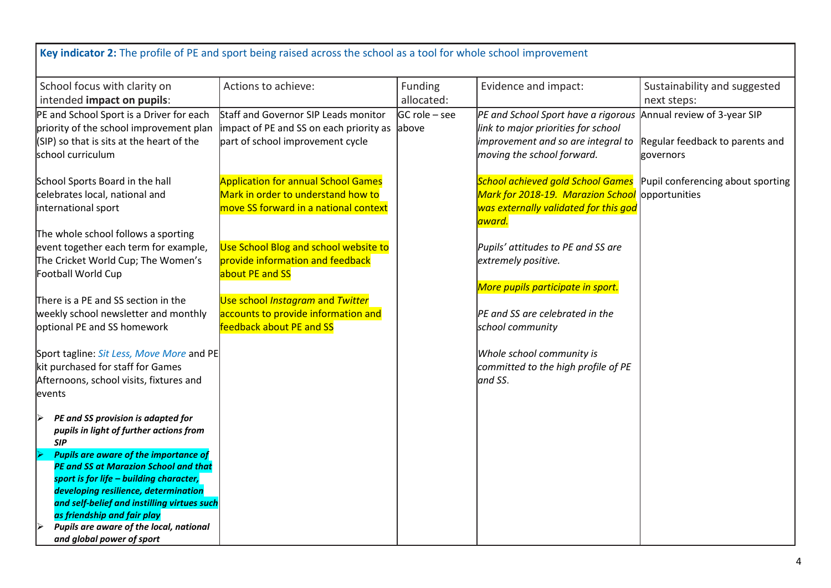| Key indicator 2: The profile of PE and sport being raised across the school as a tool for whole school improvement                                                                                                                                                                                                                                                                                                                   |                                                                                                                           |                                    |                                                                                                                                                                            |                                                    |
|--------------------------------------------------------------------------------------------------------------------------------------------------------------------------------------------------------------------------------------------------------------------------------------------------------------------------------------------------------------------------------------------------------------------------------------|---------------------------------------------------------------------------------------------------------------------------|------------------------------------|----------------------------------------------------------------------------------------------------------------------------------------------------------------------------|----------------------------------------------------|
| School focus with clarity on<br>intended impact on pupils:                                                                                                                                                                                                                                                                                                                                                                           | Actions to achieve:                                                                                                       | Funding<br>allocated:              | Evidence and impact:                                                                                                                                                       | Sustainability and suggested<br>next steps:        |
| PE and School Sport is a Driver for each<br>priority of the school improvement plan<br>$(SIP)$ so that is sits at the heart of the<br>school curriculum                                                                                                                                                                                                                                                                              | Staff and Governor SIP Leads monitor<br>impact of PE and SS on each priority as<br>part of school improvement cycle       | $GC$ role $-$ see<br><b>labove</b> | PE and School Sport have a rigorous Annual review of 3-year SIP<br>link to major priorities for school<br>improvement and so are integral to<br>moving the school forward. | Regular feedback to parents and<br>governors       |
| School Sports Board in the hall<br>celebrates local, national and<br>international sport                                                                                                                                                                                                                                                                                                                                             | <b>Application for annual School Games</b><br>Mark in order to understand how to<br>move SS forward in a national context |                                    | <b>School achieved gold School Games</b><br>Mark for 2018-19. Marazion School<br>was externally validated for this god<br>award.                                           | Pupil conferencing about sporting<br>opportunities |
| The whole school follows a sporting<br>event together each term for example,<br>The Cricket World Cup; The Women's<br>Football World Cup                                                                                                                                                                                                                                                                                             | Use School Blog and school website to<br>provide information and feedback<br>about PE and SS                              |                                    | Pupils' attitudes to PE and SS are<br>extremely positive.<br>More pupils participate in sport.                                                                             |                                                    |
| There is a PE and SS section in the<br>weekly school newsletter and monthly<br>optional PE and SS homework                                                                                                                                                                                                                                                                                                                           | Use school Instagram and Twitter<br>accounts to provide information and<br>feedback about PE and SS                       |                                    | PE and SS are celebrated in the<br>school community                                                                                                                        |                                                    |
| Sport tagline: Sit Less, Move More and PE<br>kit purchased for staff for Games<br>Afternoons, school visits, fixtures and<br>events                                                                                                                                                                                                                                                                                                  |                                                                                                                           |                                    | Whole school community is<br>committed to the high profile of PE<br>and SS.                                                                                                |                                                    |
| PE and SS provision is adapted for<br>pupils in light of further actions from<br><b>SIP</b><br><b>Pupils are aware of the importance of</b><br><b>PE and SS at Marazion School and that</b><br>sport is for life - building character,<br>developing resilience, determination<br>and self-belief and instilling virtues such<br>as friendship and fair play<br>Pupils are aware of the local, national<br>and global power of sport |                                                                                                                           |                                    |                                                                                                                                                                            |                                                    |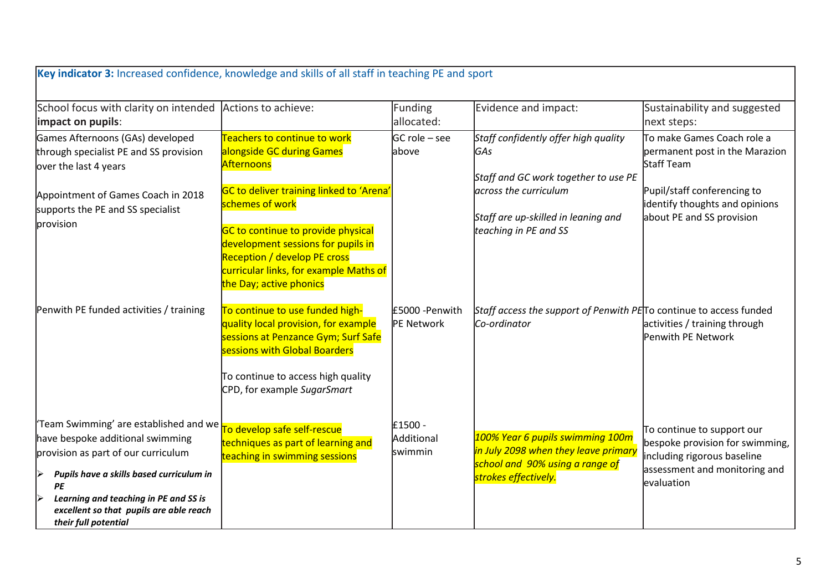| Key indicator 3: Increased confidence, knowledge and skills of all staff in teaching PE and sport                                                                                                                                                                                    |                                                                                                                                                                                                                                                     |                                  |                                                                                                                                     |                                                                                                                                             |
|--------------------------------------------------------------------------------------------------------------------------------------------------------------------------------------------------------------------------------------------------------------------------------------|-----------------------------------------------------------------------------------------------------------------------------------------------------------------------------------------------------------------------------------------------------|----------------------------------|-------------------------------------------------------------------------------------------------------------------------------------|---------------------------------------------------------------------------------------------------------------------------------------------|
| School focus with clarity on intended<br>impact on pupils:                                                                                                                                                                                                                           | Actions to achieve:                                                                                                                                                                                                                                 | Funding<br>allocated:            | Evidence and impact:                                                                                                                | Sustainability and suggested<br>next steps:                                                                                                 |
| Games Afternoons (GAs) developed<br>through specialist PE and SS provision<br>over the last 4 years                                                                                                                                                                                  | Teachers to continue to work<br>alongside GC during Games<br>Afternoons                                                                                                                                                                             | $GC$ role $-$ see<br>above       | Staff confidently offer high quality<br>GAs<br>Staff and GC work together to use PE                                                 | To make Games Coach role a<br>permanent post in the Marazion<br><b>Staff Team</b>                                                           |
| Appointment of Games Coach in 2018<br>supports the PE and SS specialist<br>provision                                                                                                                                                                                                 | GC to deliver training linked to 'Arena'<br>schemes of work<br>GC to continue to provide physical<br>development sessions for pupils in<br><b>Reception / develop PE cross</b><br>curricular links, for example Maths of<br>the Day; active phonics |                                  | across the curriculum<br>Staff are up-skilled in leaning and<br>teaching in PE and SS                                               | Pupil/staff conferencing to<br>identify thoughts and opinions<br>about PE and SS provision                                                  |
| Penwith PE funded activities / training                                                                                                                                                                                                                                              | To continue to use funded high-<br>quality local provision, for example<br>sessions at Penzance Gym; Surf Safe<br>sessions with Global Boarders<br>To continue to access high quality<br>CPD, for example SugarSmart                                | £5000 - Penwith<br>PE Network    | Staff access the support of Penwith PETO continue to access funded<br>Co-ordinator                                                  | activities / training through<br>Penwith PE Network                                                                                         |
| 'Team Swimming' are established and we<br>have bespoke additional swimming<br>provision as part of our curriculum<br>Pupils have a skills based curriculum in<br>▶<br>PE<br>Learning and teaching in PE and SS is<br>excellent so that pupils are able reach<br>their full potential | To develop safe self-rescue<br>techniques as part of learning and<br>teaching in swimming sessions                                                                                                                                                  | £1500 -<br>Additional<br>swimmin | 100% Year 6 pupils swimming 100m<br>in July 2098 when they leave primary<br>school and 90% using a range of<br>strokes effectively. | To continue to support our<br>bespoke provision for swimming,<br>including rigorous baseline<br>assessment and monitoring and<br>evaluation |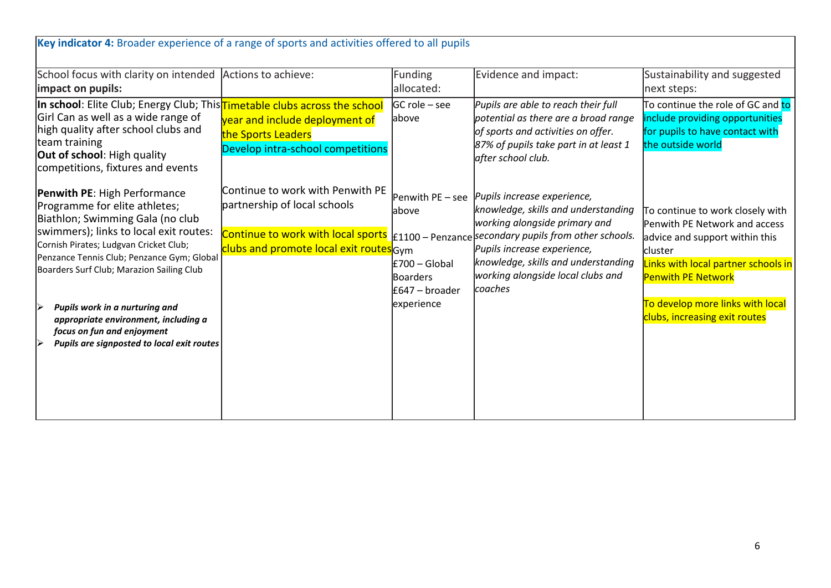| Key indicator 4: Broader experience of a range of sports and activities offered to all pupils                                                                                                                                                                                                                                                                                                                                          |                                                                                                                                                   |                                                                                                 |                                                                                                                                                                                                                                                                                      |                                                                                                                                                                                                                                                                |
|----------------------------------------------------------------------------------------------------------------------------------------------------------------------------------------------------------------------------------------------------------------------------------------------------------------------------------------------------------------------------------------------------------------------------------------|---------------------------------------------------------------------------------------------------------------------------------------------------|-------------------------------------------------------------------------------------------------|--------------------------------------------------------------------------------------------------------------------------------------------------------------------------------------------------------------------------------------------------------------------------------------|----------------------------------------------------------------------------------------------------------------------------------------------------------------------------------------------------------------------------------------------------------------|
| School focus with clarity on intended Actions to achieve:<br>impact on pupils:                                                                                                                                                                                                                                                                                                                                                         |                                                                                                                                                   | Funding<br>allocated:                                                                           | Evidence and impact:                                                                                                                                                                                                                                                                 | Sustainability and suggested<br>next steps:                                                                                                                                                                                                                    |
| In school: Elite Club; Energy Club; This Timetable clubs across the school<br>Girl Can as well as a wide range of<br>high quality after school clubs and<br>team training<br><b>Out of school:</b> High quality<br>competitions, fixtures and events                                                                                                                                                                                   | year and include deployment of<br>the Sports Leaders<br>Develop intra-school competitions                                                         | $ GC$ role – see<br>above                                                                       | Pupils are able to reach their full<br>potential as there are a broad range<br>of sports and activities on offer.<br>87% of pupils take part in at least 1<br>after school club.                                                                                                     | To continue the role of GC and to<br>include providing opportunities<br>for pupils to have contact with<br>the outside world                                                                                                                                   |
| Penwith PE: High Performance<br>Programme for elite athletes;<br>Biathlon; Swimming Gala (no club<br>swimmers); links to local exit routes:<br>Cornish Pirates; Ludgvan Cricket Club;<br>Penzance Tennis Club; Penzance Gym; Global<br>Boarders Surf Club; Marazion Sailing Club<br>Pupils work in a nurturing and<br>appropriate environment, including a<br>focus on fun and enjoyment<br>Pupils are signposted to local exit routes | Continue to work with Penwith PE<br>partnership of local schools<br>Continue to work with local sports<br>clubs and promote local exit routes Gym | Penwith PE - see<br>above<br>$E700 - Global$<br><b>Boarders</b><br>£647 – broader<br>experience | Pupils increase experience,<br>knowledge, skills and understanding<br>working alongside primary and<br>$E1100$ – Penzance secondary pupils from other schools.<br>Pupils increase experience,<br>knowledge, skills and understanding<br>working alongside local clubs and<br>coaches | To continue to work closely with<br>Penwith PE Network and access<br>advice and support within this<br><b>cluster</b><br>Links with local partner schools in<br><b>Penwith PE Network</b><br>To develop more links with local<br>clubs, increasing exit routes |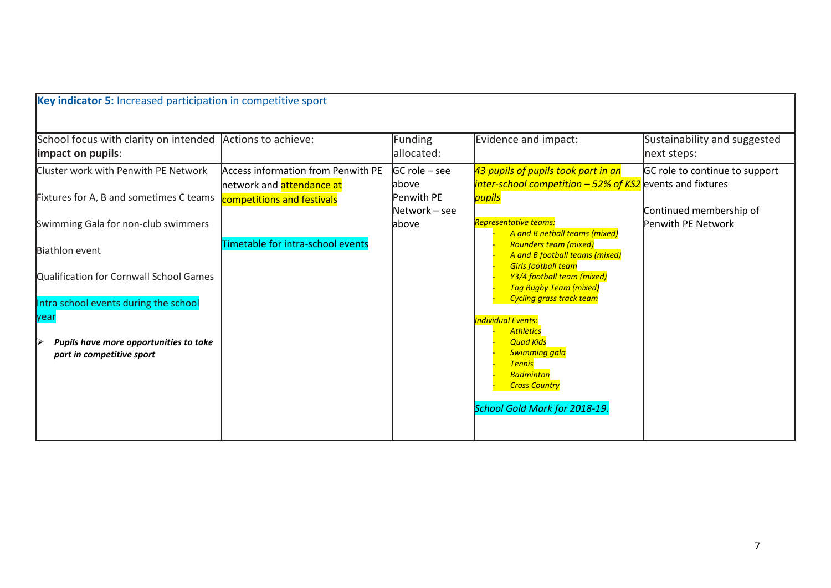| Key indicator 5: Increased participation in competitive sport                                                                                                                                                                                                                                                           |                                                                                                                                                        |                                                                                 |                                                                                                                                                                                                                                                                                                                                                                                                                                                                                                                                                                               |                                                                                 |
|-------------------------------------------------------------------------------------------------------------------------------------------------------------------------------------------------------------------------------------------------------------------------------------------------------------------------|--------------------------------------------------------------------------------------------------------------------------------------------------------|---------------------------------------------------------------------------------|-------------------------------------------------------------------------------------------------------------------------------------------------------------------------------------------------------------------------------------------------------------------------------------------------------------------------------------------------------------------------------------------------------------------------------------------------------------------------------------------------------------------------------------------------------------------------------|---------------------------------------------------------------------------------|
| School focus with clarity on intended<br>limpact on pupils:                                                                                                                                                                                                                                                             | Actions to achieve:                                                                                                                                    | <b>Funding</b><br>allocated:                                                    | Evidence and impact:                                                                                                                                                                                                                                                                                                                                                                                                                                                                                                                                                          | Sustainability and suggested<br>next steps:                                     |
| Cluster work with Penwith PE Network<br>Fixtures for A, B and sometimes C teams<br>Swimming Gala for non-club swimmers<br><b>Biathlon event</b><br>Qualification for Cornwall School Games<br>Intra school events during the school<br>year<br>Ⅳ<br>Pupils have more opportunities to take<br>part in competitive sport | <b>Access information from Penwith PE</b><br>network and <mark>attendance at</mark><br>competitions and festivals<br>Timetable for intra-school events | <b>IGC role – see</b><br>labove<br><b>Penwith PE</b><br>Network – see<br>labove | 43 pupils of pupils took part in an<br>$inter-stehool$ competition $-52\%$ of KS2 events and fixtures<br>pupils<br><b>Representative teams:</b><br>A and B netball teams (mixed)<br><b>Rounders team (mixed)</b><br>A and B football teams (mixed)<br><b>Girls football team</b><br>Y3/4 football team (mixed)<br><b>Tag Rugby Team (mixed)</b><br><b>Cycling grass track team</b><br><b>Individual Events:</b><br><b>Athletics</b><br><b>Quad Kids</b><br><b>Swimming gala</b><br><b>Tennis</b><br><b>Badminton</b><br><b>Cross Country</b><br>School Gold Mark for 2018-19. | GC role to continue to support<br>Continued membership of<br>Penwith PE Network |